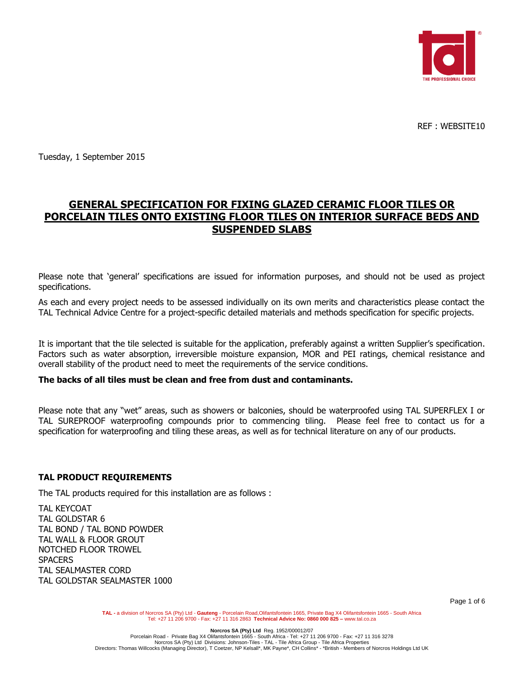

REF : WEBSITE10

Tuesday, 1 September 2015

# **GENERAL SPECIFICATION FOR FIXING GLAZED CERAMIC FLOOR TILES OR PORCELAIN TILES ONTO EXISTING FLOOR TILES ON INTERIOR SURFACE BEDS AND SUSPENDED SLABS**

Please note that 'general' specifications are issued for information purposes, and should not be used as project specifications.

As each and every project needs to be assessed individually on its own merits and characteristics please contact the TAL Technical Advice Centre for a project-specific detailed materials and methods specification for specific projects.

It is important that the tile selected is suitable for the application, preferably against a written Supplier's specification. Factors such as water absorption, irreversible moisture expansion, MOR and PEI ratings, chemical resistance and overall stability of the product need to meet the requirements of the service conditions.

#### **The backs of all tiles must be clean and free from dust and contaminants.**

Please note that any "wet" areas, such as showers or balconies, should be waterproofed using TAL SUPERFLEX I or TAL SUREPROOF waterproofing compounds prior to commencing tiling. Please feel free to contact us for a specification for waterproofing and tiling these areas, as well as for technical literature on any of our products.

#### **TAL PRODUCT REQUIREMENTS**

The TAL products required for this installation are as follows :

TAL KEYCOAT TAL GOLDSTAR 6 TAL BOND / TAL BOND POWDER TAL WALL & FLOOR GROUT NOTCHED FLOOR TROWEL **SPACERS** TAL SEALMASTER CORD TAL GOLDSTAR SEALMASTER 1000

Page 1 of 6

TAL - a division of Norcros SA (Pty) Ltd - Gauteng - Porcelain Road,Olifantsfontein 1665, Private Bag X4 Olifantsfontein 1665 - South Africa<br>Tel: +27 11 206 9700 - Fax: +27 11 316 2863 Technical Advice No: 0860 000 825 – w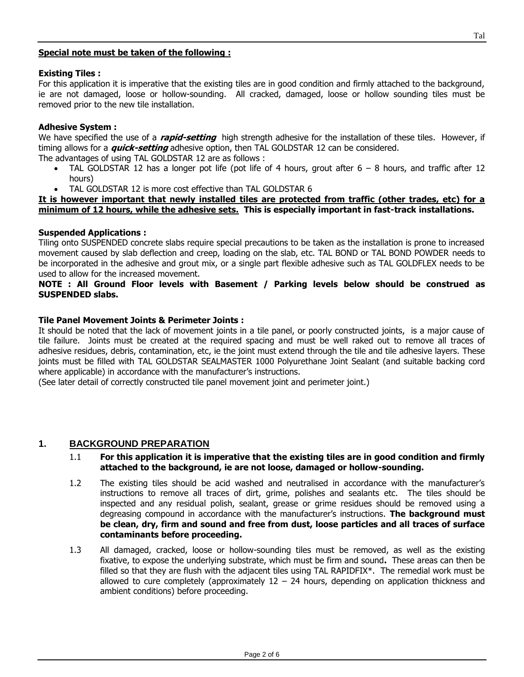### **Special note must be taken of the following :**

### **Existing Tiles :**

For this application it is imperative that the existing tiles are in good condition and firmly attached to the background, ie are not damaged, loose or hollow-sounding. All cracked, damaged, loose or hollow sounding tiles must be removed prior to the new tile installation.

## **Adhesive System :**

We have specified the use of a **rapid-setting** high strength adhesive for the installation of these tiles. However, if timing allows for a **quick-setting** adhesive option, then TAL GOLDSTAR 12 can be considered. The advantages of using TAL GOLDSTAR 12 are as follows :

- TAL GOLDSTAR 12 has a longer pot life (pot life of 4 hours, grout after  $6 8$  hours, and traffic after 12 hours)
- TAL GOLDSTAR 12 is more cost effective than TAL GOLDSTAR 6

### **It is however important that newly installed tiles are protected from traffic (other trades, etc) for a minimum of 12 hours, while the adhesive sets. This is especially important in fast-track installations.**

## **Suspended Applications :**

Tiling onto SUSPENDED concrete slabs require special precautions to be taken as the installation is prone to increased movement caused by slab deflection and creep, loading on the slab, etc. TAL BOND or TAL BOND POWDER needs to be incorporated in the adhesive and grout mix, or a single part flexible adhesive such as TAL GOLDFLEX needs to be used to allow for the increased movement.

### **NOTE : All Ground Floor levels with Basement / Parking levels below should be construed as SUSPENDED slabs.**

### **Tile Panel Movement Joints & Perimeter Joints :**

It should be noted that the lack of movement joints in a tile panel, or poorly constructed joints, is a major cause of tile failure. Joints must be created at the required spacing and must be well raked out to remove all traces of adhesive residues, debris, contamination, etc, ie the joint must extend through the tile and tile adhesive layers. These joints must be filled with TAL GOLDSTAR SEALMASTER 1000 Polyurethane Joint Sealant (and suitable backing cord where applicable) in accordance with the manufacturer's instructions.

(See later detail of correctly constructed tile panel movement joint and perimeter joint.)

## **1. BACKGROUND PREPARATION**

### 1.1 **For this application it is imperative that the existing tiles are in good condition and firmly attached to the background, ie are not loose, damaged or hollow-sounding.**

- 1.2 The existing tiles should be acid washed and neutralised in accordance with the manufacturer's instructions to remove all traces of dirt, grime, polishes and sealants etc. The tiles should be inspected and any residual polish, sealant, grease or grime residues should be removed using a degreasing compound in accordance with the manufacturer's instructions. **The background must be clean, dry, firm and sound and free from dust, loose particles and all traces of surface contaminants before proceeding.**
- 1.3 All damaged, cracked, loose or hollow-sounding tiles must be removed, as well as the existing fixative, to expose the underlying substrate, which must be firm and sound**.** These areas can then be filled so that they are flush with the adjacent tiles using TAL RAPIDFIX\*. The remedial work must be allowed to cure completely (approximately  $12 - 24$  hours, depending on application thickness and ambient conditions) before proceeding.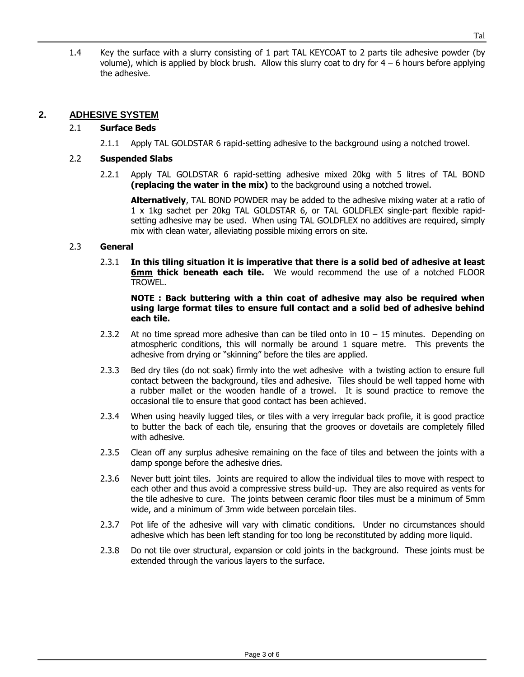1.4 Key the surface with a slurry consisting of 1 part TAL KEYCOAT to 2 parts tile adhesive powder (by volume), which is applied by block brush. Allow this slurry coat to dry for  $4 - 6$  hours before applying the adhesive.

## **2. ADHESIVE SYSTEM**

## 2.1 **Surface Beds**

2.1.1 Apply TAL GOLDSTAR 6 rapid-setting adhesive to the background using a notched trowel.

## 2.2 **Suspended Slabs**

2.2.1 Apply TAL GOLDSTAR 6 rapid-setting adhesive mixed 20kg with 5 litres of TAL BOND **(replacing the water in the mix)** to the background using a notched trowel.

**Alternatively**, TAL BOND POWDER may be added to the adhesive mixing water at a ratio of 1 x 1kg sachet per 20kg TAL GOLDSTAR 6, or TAL GOLDFLEX single-part flexible rapidsetting adhesive may be used. When using TAL GOLDFLEX no additives are required, simply mix with clean water, alleviating possible mixing errors on site.

## 2.3 **General**

2.3.1 **In this tiling situation it is imperative that there is a solid bed of adhesive at least 6mm thick beneath each tile.** We would recommend the use of a notched FLOOR TROWEL.

#### **NOTE : Back buttering with a thin coat of adhesive may also be required when using large format tiles to ensure full contact and a solid bed of adhesive behind each tile.**

- 2.3.2 At no time spread more adhesive than can be tiled onto in  $10 15$  minutes. Depending on atmospheric conditions, this will normally be around 1 square metre. This prevents the adhesive from drying or "skinning" before the tiles are applied.
- 2.3.3 Bed dry tiles (do not soak) firmly into the wet adhesive with a twisting action to ensure full contact between the background, tiles and adhesive. Tiles should be well tapped home with a rubber mallet or the wooden handle of a trowel. It is sound practice to remove the occasional tile to ensure that good contact has been achieved.
- 2.3.4 When using heavily lugged tiles, or tiles with a very irregular back profile, it is good practice to butter the back of each tile, ensuring that the grooves or dovetails are completely filled with adhesive.
- 2.3.5 Clean off any surplus adhesive remaining on the face of tiles and between the joints with a damp sponge before the adhesive dries.
- 2.3.6 Never butt joint tiles. Joints are required to allow the individual tiles to move with respect to each other and thus avoid a compressive stress build-up. They are also required as vents for the tile adhesive to cure. The joints between ceramic floor tiles must be a minimum of 5mm wide, and a minimum of 3mm wide between porcelain tiles.
- 2.3.7 Pot life of the adhesive will vary with climatic conditions. Under no circumstances should adhesive which has been left standing for too long be reconstituted by adding more liquid.
- 2.3.8 Do not tile over structural, expansion or cold joints in the background. These joints must be extended through the various layers to the surface.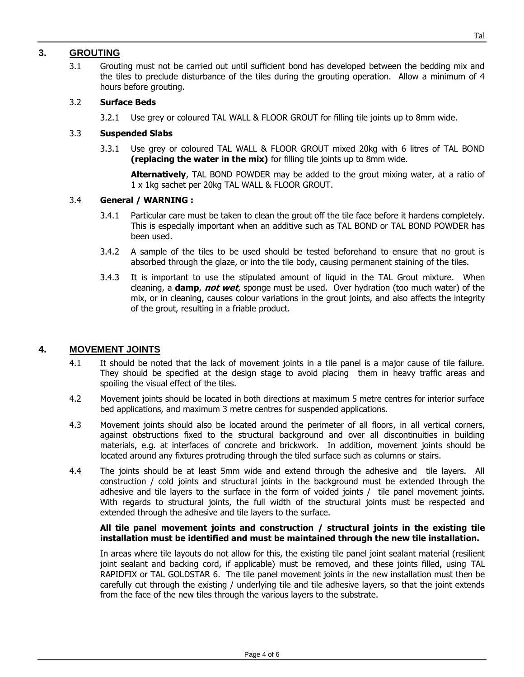## **3. GROUTING**

3.1 Grouting must not be carried out until sufficient bond has developed between the bedding mix and the tiles to preclude disturbance of the tiles during the grouting operation. Allow a minimum of 4 hours before grouting.

## 3.2 **Surface Beds**

3.2.1 Use grey or coloured TAL WALL & FLOOR GROUT for filling tile joints up to 8mm wide.

## 3.3 **Suspended Slabs**

3.3.1 Use grey or coloured TAL WALL & FLOOR GROUT mixed 20kg with 6 litres of TAL BOND **(replacing the water in the mix)** for filling tile joints up to 8mm wide.

**Alternatively**, TAL BOND POWDER may be added to the grout mixing water, at a ratio of 1 x 1kg sachet per 20kg TAL WALL & FLOOR GROUT.

### 3.4 **General / WARNING :**

- 3.4.1 Particular care must be taken to clean the grout off the tile face before it hardens completely. This is especially important when an additive such as TAL BOND or TAL BOND POWDER has been used.
- 3.4.2 A sample of the tiles to be used should be tested beforehand to ensure that no grout is absorbed through the glaze, or into the tile body, causing permanent staining of the tiles.
- 3.4.3 It is important to use the stipulated amount of liquid in the TAL Grout mixture. When cleaning, a **damp**, **not wet**, sponge must be used. Over hydration (too much water) of the mix, or in cleaning, causes colour variations in the grout joints, and also affects the integrity of the grout, resulting in a friable product.

## **4. MOVEMENT JOINTS**

- 4.1 It should be noted that the lack of movement joints in a tile panel is a major cause of tile failure. They should be specified at the design stage to avoid placing them in heavy traffic areas and spoiling the visual effect of the tiles.
- 4.2 Movement joints should be located in both directions at maximum 5 metre centres for interior surface bed applications, and maximum 3 metre centres for suspended applications.
- 4.3 Movement joints should also be located around the perimeter of all floors, in all vertical corners, against obstructions fixed to the structural background and over all discontinuities in building materials, e.g. at interfaces of concrete and brickwork. In addition, movement joints should be located around any fixtures protruding through the tiled surface such as columns or stairs.
- 4.4 The joints should be at least 5mm wide and extend through the adhesive and tile layers. All construction / cold joints and structural joints in the background must be extended through the adhesive and tile layers to the surface in the form of voided joints / tile panel movement joints. With regards to structural joints, the full width of the structural joints must be respected and extended through the adhesive and tile layers to the surface.

### **All tile panel movement joints and construction / structural joints in the existing tile installation must be identified and must be maintained through the new tile installation.**

In areas where tile layouts do not allow for this, the existing tile panel joint sealant material (resilient joint sealant and backing cord, if applicable) must be removed, and these joints filled, using TAL RAPIDFIX or TAL GOLDSTAR 6. The tile panel movement joints in the new installation must then be carefully cut through the existing / underlying tile and tile adhesive layers, so that the joint extends from the face of the new tiles through the various layers to the substrate.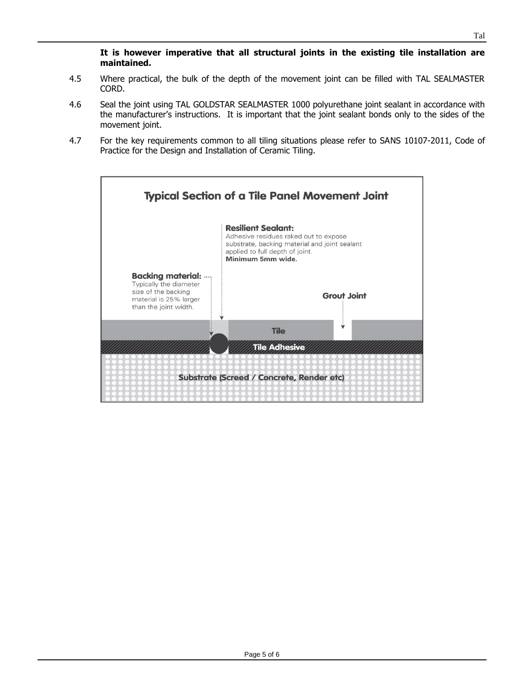**It is however imperative that all structural joints in the existing tile installation are maintained.**

- 4.5 Where practical, the bulk of the depth of the movement joint can be filled with TAL SEALMASTER CORD.
- 4.6 Seal the joint using TAL GOLDSTAR SEALMASTER 1000 polyurethane joint sealant in accordance with the manufacturer's instructions. It is important that the joint sealant bonds only to the sides of the movement joint.
- 4.7 For the key requirements common to all tiling situations please refer to SANS 10107-2011, Code of Practice for the Design and Installation of Ceramic Tiling.